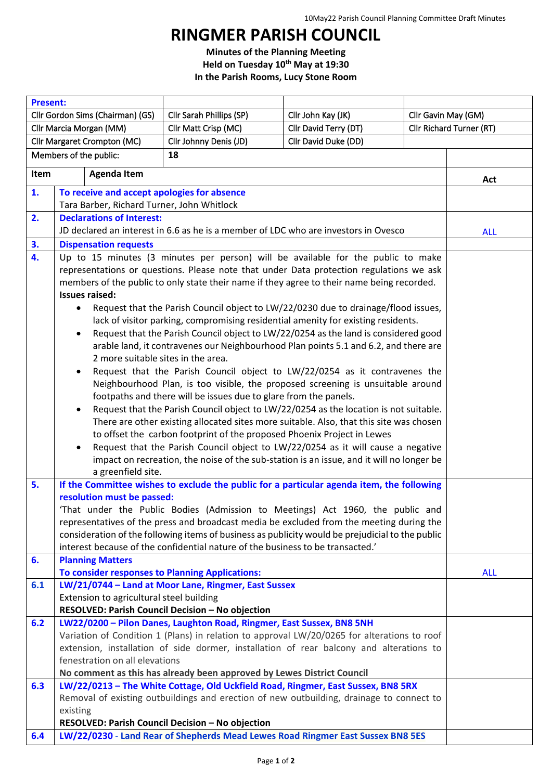## **RINGMER PARISH COUNCIL**

**Minutes of the Planning Meeting Held on Tuesday 10th May at 19:30 In the Parish Rooms, Lucy Stone Room**

| <b>Present:</b>                                                               |                                                                                                                                                                                       |                                                                       |                                                                                             |                          |            |
|-------------------------------------------------------------------------------|---------------------------------------------------------------------------------------------------------------------------------------------------------------------------------------|-----------------------------------------------------------------------|---------------------------------------------------------------------------------------------|--------------------------|------------|
| Cllr Gordon Sims (Chairman) (GS)                                              |                                                                                                                                                                                       | Cllr Sarah Phillips (SP)                                              | Cllr John Kay (JK)                                                                          | Cllr Gavin May (GM)      |            |
| Cllr Marcia Morgan (MM)                                                       |                                                                                                                                                                                       | Cllr Matt Crisp (MC)                                                  | Cllr David Terry (DT)                                                                       | Cllr Richard Turner (RT) |            |
| Cllr David Duke (DD)<br>Cllr Margaret Crompton (MC)<br>Cllr Johnny Denis (JD) |                                                                                                                                                                                       |                                                                       |                                                                                             |                          |            |
| Members of the public:<br>18                                                  |                                                                                                                                                                                       |                                                                       |                                                                                             |                          |            |
| <b>Agenda Item</b><br>Item                                                    |                                                                                                                                                                                       |                                                                       |                                                                                             | Act                      |            |
| 1.                                                                            | To receive and accept apologies for absence                                                                                                                                           |                                                                       |                                                                                             |                          |            |
|                                                                               | Tara Barber, Richard Turner, John Whitlock                                                                                                                                            |                                                                       |                                                                                             |                          |            |
| 2.                                                                            | <b>Declarations of Interest:</b><br>JD declared an interest in 6.6 as he is a member of LDC who are investors in Ovesco                                                               |                                                                       |                                                                                             |                          |            |
|                                                                               |                                                                                                                                                                                       | <b>ALL</b>                                                            |                                                                                             |                          |            |
| 3.                                                                            | <b>Dispensation requests</b><br>Up to 15 minutes (3 minutes per person) will be available for the public to make                                                                      |                                                                       |                                                                                             |                          |            |
| 4.                                                                            |                                                                                                                                                                                       |                                                                       |                                                                                             |                          |            |
|                                                                               | representations or questions. Please note that under Data protection regulations we ask<br>members of the public to only state their name if they agree to their name being recorded. |                                                                       |                                                                                             |                          |            |
|                                                                               | <b>Issues raised:</b>                                                                                                                                                                 |                                                                       |                                                                                             |                          |            |
|                                                                               | Request that the Parish Council object to LW/22/0230 due to drainage/flood issues,                                                                                                    |                                                                       |                                                                                             |                          |            |
|                                                                               | lack of visitor parking, compromising residential amenity for existing residents.                                                                                                     |                                                                       |                                                                                             |                          |            |
|                                                                               |                                                                                                                                                                                       |                                                                       |                                                                                             |                          |            |
|                                                                               | Request that the Parish Council object to LW/22/0254 as the land is considered good<br>arable land, it contravenes our Neighbourhood Plan points 5.1 and 6.2, and there are           |                                                                       |                                                                                             |                          |            |
|                                                                               | 2 more suitable sites in the area.                                                                                                                                                    |                                                                       |                                                                                             |                          |            |
|                                                                               | Request that the Parish Council object to LW/22/0254 as it contravenes the<br>$\bullet$                                                                                               |                                                                       |                                                                                             |                          |            |
|                                                                               | Neighbourhood Plan, is too visible, the proposed screening is unsuitable around                                                                                                       |                                                                       |                                                                                             |                          |            |
|                                                                               | footpaths and there will be issues due to glare from the panels.                                                                                                                      |                                                                       |                                                                                             |                          |            |
|                                                                               | Request that the Parish Council object to LW/22/0254 as the location is not suitable.<br>$\bullet$                                                                                    |                                                                       |                                                                                             |                          |            |
|                                                                               | There are other existing allocated sites more suitable. Also, that this site was chosen                                                                                               |                                                                       |                                                                                             |                          |            |
|                                                                               | to offset the carbon footprint of the proposed Phoenix Project in Lewes                                                                                                               |                                                                       |                                                                                             |                          |            |
|                                                                               | Request that the Parish Council object to LW/22/0254 as it will cause a negative<br>$\bullet$                                                                                         |                                                                       |                                                                                             |                          |            |
|                                                                               | impact on recreation, the noise of the sub-station is an issue, and it will no longer be                                                                                              |                                                                       |                                                                                             |                          |            |
|                                                                               | a greenfield site.<br>If the Committee wishes to exclude the public for a particular agenda item, the following                                                                       |                                                                       |                                                                                             |                          |            |
| 5.                                                                            |                                                                                                                                                                                       |                                                                       |                                                                                             |                          |            |
|                                                                               | resolution must be passed:                                                                                                                                                            |                                                                       |                                                                                             |                          |            |
|                                                                               | 'That under the Public Bodies (Admission to Meetings) Act 1960, the public and<br>representatives of the press and broadcast media be excluded from the meeting during the            |                                                                       |                                                                                             |                          |            |
|                                                                               | consideration of the following items of business as publicity would be prejudicial to the public                                                                                      |                                                                       |                                                                                             |                          |            |
|                                                                               | interest because of the confidential nature of the business to be transacted.'                                                                                                        |                                                                       |                                                                                             |                          |            |
| 6.                                                                            | <b>Planning Matters</b>                                                                                                                                                               |                                                                       |                                                                                             |                          |            |
|                                                                               | To consider responses to Planning Applications:                                                                                                                                       |                                                                       |                                                                                             |                          | <b>ALL</b> |
| 6.1                                                                           |                                                                                                                                                                                       | LW/21/0744 - Land at Moor Lane, Ringmer, East Sussex                  |                                                                                             |                          |            |
|                                                                               | Extension to agricultural steel building                                                                                                                                              |                                                                       |                                                                                             |                          |            |
|                                                                               |                                                                                                                                                                                       | RESOLVED: Parish Council Decision - No objection                      |                                                                                             |                          |            |
| 6.2                                                                           |                                                                                                                                                                                       | LW22/0200 - Pilon Danes, Laughton Road, Ringmer, East Sussex, BN8 5NH |                                                                                             |                          |            |
|                                                                               |                                                                                                                                                                                       |                                                                       | Variation of Condition 1 (Plans) in relation to approval LW/20/0265 for alterations to roof |                          |            |
|                                                                               |                                                                                                                                                                                       |                                                                       | extension, installation of side dormer, installation of rear balcony and alterations to     |                          |            |
|                                                                               | fenestration on all elevations                                                                                                                                                        |                                                                       |                                                                                             |                          |            |
|                                                                               | No comment as this has already been approved by Lewes District Council                                                                                                                |                                                                       |                                                                                             |                          |            |
| 6.3                                                                           | LW/22/0213 - The White Cottage, Old Uckfield Road, Ringmer, East Sussex, BN8 5RX<br>Removal of existing outbuildings and erection of new outbuilding, drainage to connect to          |                                                                       |                                                                                             |                          |            |
|                                                                               |                                                                                                                                                                                       |                                                                       |                                                                                             |                          |            |
|                                                                               | existing<br>RESOLVED: Parish Council Decision - No objection                                                                                                                          |                                                                       |                                                                                             |                          |            |
| 6.4                                                                           |                                                                                                                                                                                       |                                                                       | LW/22/0230 - Land Rear of Shepherds Mead Lewes Road Ringmer East Sussex BN8 5ES             |                          |            |
|                                                                               |                                                                                                                                                                                       |                                                                       |                                                                                             |                          |            |